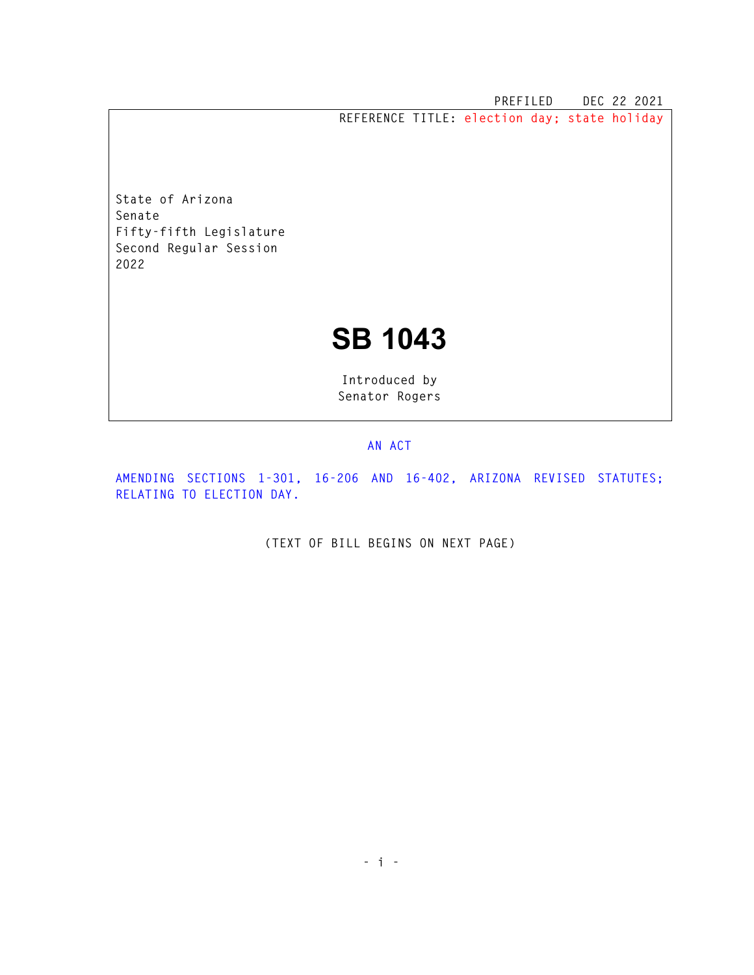**PREFILED DEC 22 2021 REFERENCE TITLE: election day; state holiday** 

**State of Arizona Senate Fifty-fifth Legislature Second Regular Session 2022** 

## **SB 1043**

**Introduced by Senator Rogers** 

## **AN ACT**

**AMENDING SECTIONS 1-301, 16-206 AND 16-402, ARIZONA REVISED STATUTES; RELATING TO ELECTION DAY.** 

**(TEXT OF BILL BEGINS ON NEXT PAGE)**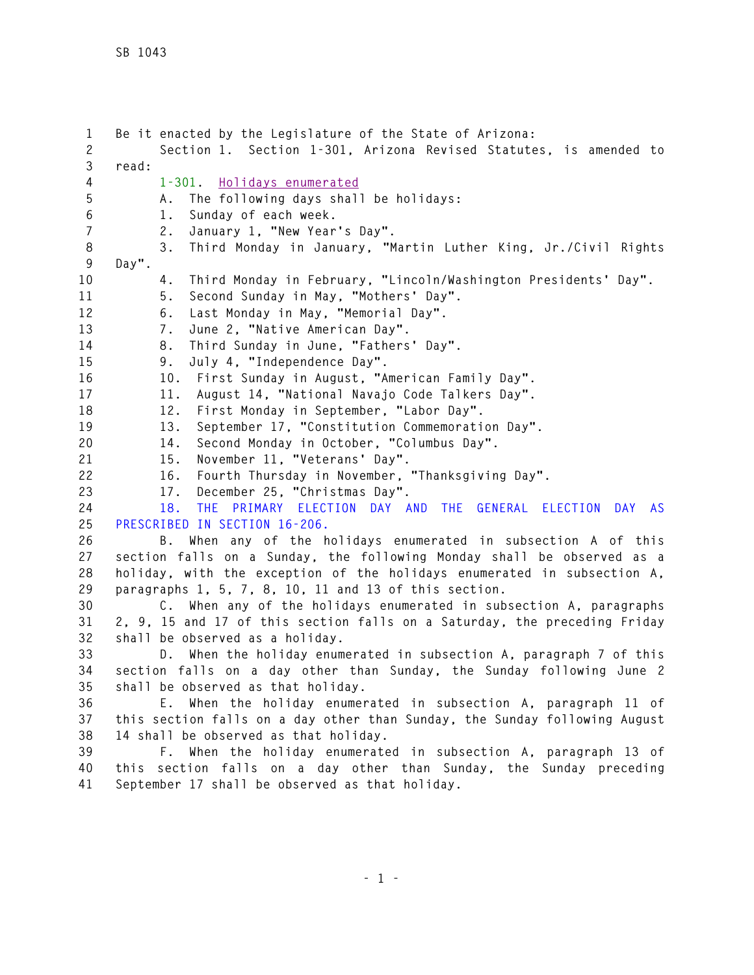**1 Be it enacted by the Legislature of the State of Arizona: 2 Section 1. Section 1-301, Arizona Revised Statutes, is amended to 3 read: 4 1-301. Holidays enumerated 5 A. The following days shall be holidays: 6 1. Sunday of each week. 7 2. January 1, "New Year's Day". 8 3. Third Monday in January, "Martin Luther King, Jr./Civil Rights 9 Day". 10 4. Third Monday in February, "Lincoln/Washington Presidents' Day". 11 5. Second Sunday in May, "Mothers' Day". 12 6. Last Monday in May, "Memorial Day". 13 7. June 2, "Native American Day". 14 8. Third Sunday in June, "Fathers' Day". 15 9. July 4, "Independence Day". 16 10. First Sunday in August, "American Family Day". 17 11. August 14, "National Navajo Code Talkers Day". 18 12. First Monday in September, "Labor Day". 19 13. September 17, "Constitution Commemoration Day". 20 14. Second Monday in October, "Columbus Day". 21 15. November 11, "Veterans' Day". 22 16. Fourth Thursday in November, "Thanksgiving Day". 23 17. December 25, "Christmas Day". 24 18. THE PRIMARY ELECTION DAY AND THE GENERAL ELECTION DAY AS 25 PRESCRIBED IN SECTION 16-206. 26 B. When any of the holidays enumerated in subsection A of this 27 section falls on a Sunday, the following Monday shall be observed as a 28 holiday, with the exception of the holidays enumerated in subsection A, 29 paragraphs 1, 5, 7, 8, 10, 11 and 13 of this section. 30 C. When any of the holidays enumerated in subsection A, paragraphs 31 2, 9, 15 and 17 of this section falls on a Saturday, the preceding Friday 32 shall be observed as a holiday. 33 D. When the holiday enumerated in subsection A, paragraph 7 of this 34 section falls on a day other than Sunday, the Sunday following June 2 35 shall be observed as that holiday. 36 E. When the holiday enumerated in subsection A, paragraph 11 of 37 this section falls on a day other than Sunday, the Sunday following August 38 14 shall be observed as that holiday. 39 F. When the holiday enumerated in subsection A, paragraph 13 of 40 this section falls on a day other than Sunday, the Sunday preceding 41 September 17 shall be observed as that holiday.**